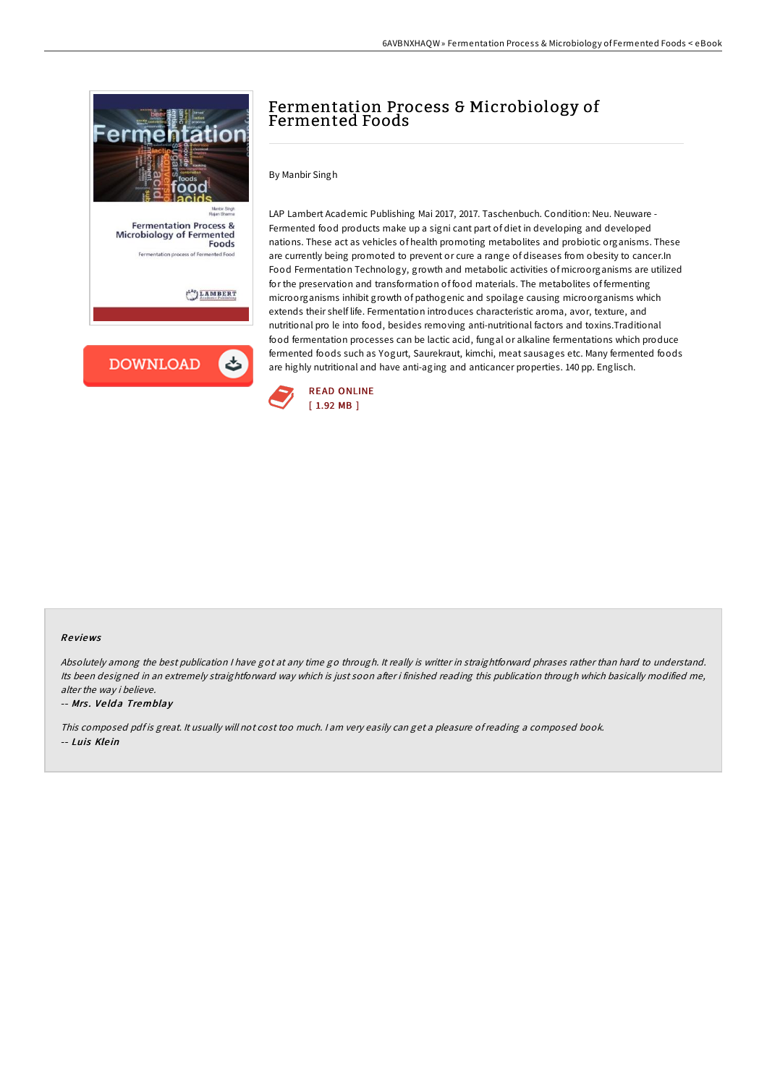

# Fermentation Process & Microbiology of Fermented Foods

By Manbir Singh

LAP Lambert Academic Publishing Mai 2017, 2017. Taschenbuch. Condition: Neu. Neuware - Fermented food products make up a signi cant part of diet in developing and developed nations. These act as vehicles of health promoting metabolites and probiotic organisms. These are currently being promoted to prevent or cure a range of diseases from obesity to cancer.In Food Fermentation Technology, growth and metabolic activities of microorganisms are utilized for the preservation and transformation of food materials. The metabolites of fermenting microorganisms inhibit growth of pathogenic and spoilage causing microorganisms which extends their shelf life. Fermentation introduces characteristic aroma, avor, texture, and nutritional pro le into food, besides removing anti-nutritional factors and toxins.Traditional food fermentation processes can be lactic acid, fungal or alkaline fermentations which produce fermented foods such as Yogurt, Saurekraut, kimchi, meat sausages etc. Many fermented foods are highly nutritional and have anti-aging and anticancer properties. 140 pp. Englisch.



#### Re views

Absolutely among the best publication <sup>I</sup> have got at any time go through. It really is writter in straightforward phrases rather than hard to understand. Its been designed in an extremely straightforward way which is just soon after i finished reading this publication through which basically modified me, alter the way i believe.

-- Mrs. Velda Tremblay

This composed pdf is great. It usually will not cost too much. I am very easily can get a pleasure of reading a composed book. -- Luis Klein